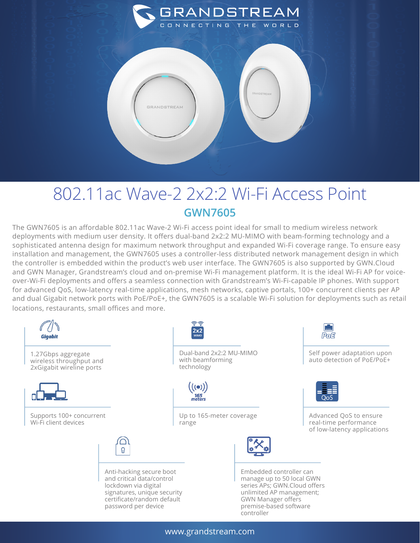

## 802.11ac Wave-2 2x2:2 Wi-Fi Access Point **GWN7605**

The GWN7605 is an affordable 802.11ac Wave-2 Wi-Fi access point ideal for small to medium wireless network deployments with medium user density. It offers dual-band 2x2:2 MU-MIMO with beam-forming technology and a sophisticated antenna design for maximum network throughput and expanded Wi-Fi coverage range. To ensure easy installation and management, the GWN7605 uses a controller-less distributed network management design in which the controller is embedded within the product's web user interface. The GWN7605 is also supported by GWN.Cloud and GWN Manager, Grandstream's cloud and on-premise Wi-Fi management platform. It is the ideal Wi-Fi AP for voiceover-Wi-Fi deployments and offers a seamless connection with Grandstream's Wi-Fi-capable IP phones. With support for advanced QoS, low-latency real-time applications, mesh networks, captive portals, 100+ concurrent clients per AP and dual Gigabit network ports with PoE/PoE+, the GWN7605 is a scalable Wi-Fi solution for deployments such as retail locations, restaurants, small offices and more.